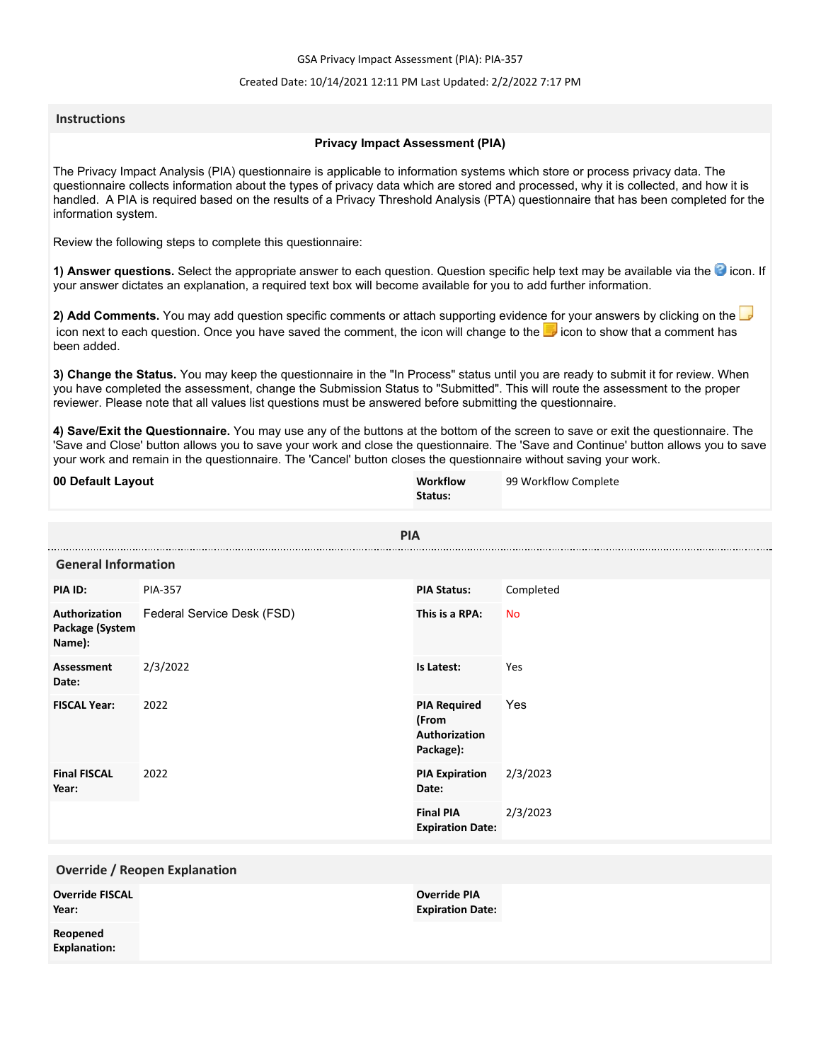GSA Privacy Impact Assessment (PIA): PIA-357

### Created Date: 10/14/2021 12:11 PM Last Updated: 2/2/2022 7:17 PM

### **Instructions**

### **Privacy Impact Assessment (PIA)**

The Privacy Impact Analysis (PIA) questionnaire is applicable to information systems which store or process privacy data. The questionnaire collects information about the types of privacy data which are stored and processed, why it is collected, and how it is handled. A PIA is required based on the results of a Privacy Threshold Analysis (PTA) questionnaire that has been completed for the information system.

Review the following steps to complete this questionnaire:

1) Answer questions. Select the appropriate answer to each question. Question specific help text may be available via the <sup>3</sup> icon. If your answer dictates an explanation, a required text box will become available for you to add further information.

**2) Add Comments.** You may add question specific comments or attach supporting evidence for your answers by clicking on the icon next to each question. Once you have saved the comment, the icon will change to the **i** icon to show that a comment has been added.

**3) Change the Status.** You may keep the questionnaire in the "In Process" status until you are ready to submit it for review. When you have completed the assessment, change the Submission Status to "Submitted". This will route the assessment to the proper reviewer. Please note that all values list questions must be answered before submitting the questionnaire.

**4) Save/Exit the Questionnaire.** You may use any of the buttons at the bottom of the screen to save or exit the questionnaire. The 'Save and Close' button allows you to save your work and close the questionnaire. The 'Save and Continue' button allows you to save your work and remain in the questionnaire. The 'Cancel' button closes the questionnaire without saving your work.

| 00 Default Layout                          |                            | Workflow<br>Status:                                        | 99 Workflow Complete |
|--------------------------------------------|----------------------------|------------------------------------------------------------|----------------------|
|                                            | <b>PIA</b>                 |                                                            |                      |
| <b>General Information</b>                 |                            |                                                            |                      |
| PIA ID:                                    | <b>PIA-357</b>             | <b>PIA Status:</b>                                         | Completed            |
| Authorization<br>Package (System<br>Name): | Federal Service Desk (FSD) | This is a RPA:                                             | <b>No</b>            |
| <b>Assessment</b><br>Date:                 | 2/3/2022                   | Is Latest:                                                 | Yes                  |
| <b>FISCAL Year:</b>                        | 2022                       | <b>PIA Required</b><br>(From<br>Authorization<br>Package): | Yes                  |
| <b>Final FISCAL</b><br>Year:               | 2022                       | <b>PIA Expiration</b><br>Date:                             | 2/3/2023             |
|                                            |                            | <b>Final PIA</b><br><b>Expiration Date:</b>                | 2/3/2023             |
| <b>Override / Reopen Explanation</b>       |                            |                                                            |                      |
| <b>Override FISCAL</b><br>Year:            |                            | <b>Override PIA</b><br><b>Expiration Date:</b>             |                      |
| Reopened<br><b>Explanation:</b>            |                            |                                                            |                      |
|                                            |                            |                                                            |                      |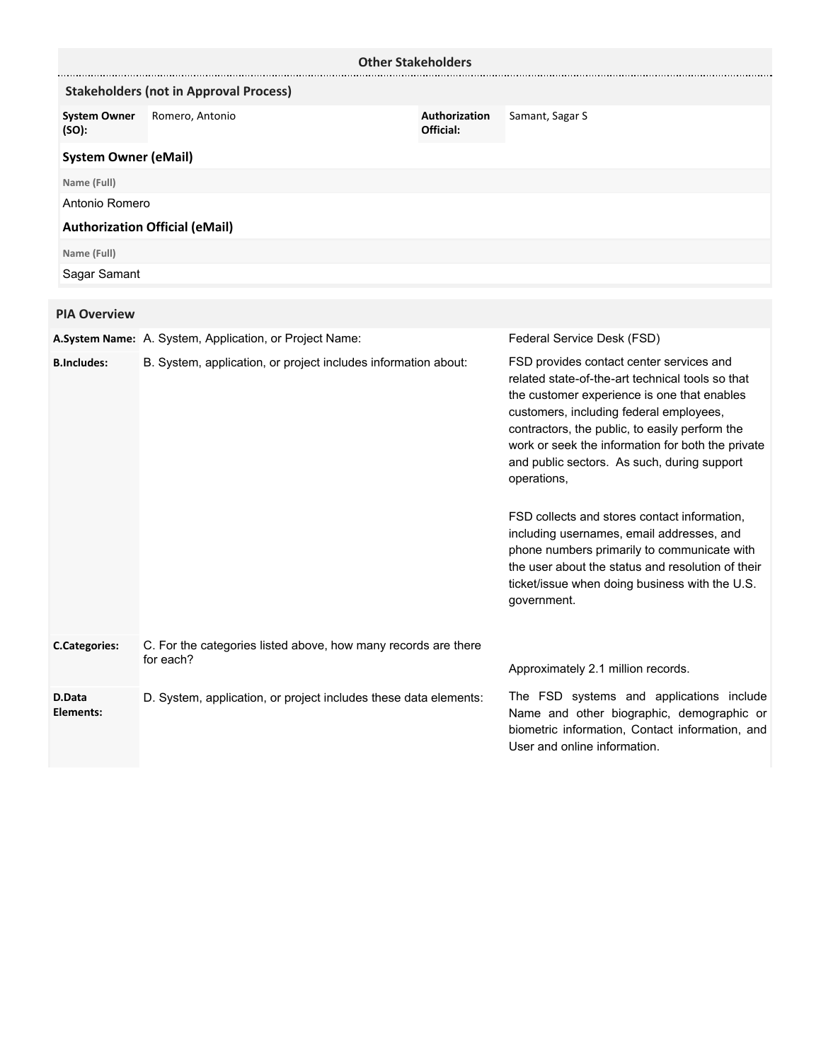|                              |                                                                             | <b>Other Stakeholders</b>  |                                                                                                                                                                                                                                                                                                                                                                                                                                                                                                                                                                                                                               |
|------------------------------|-----------------------------------------------------------------------------|----------------------------|-------------------------------------------------------------------------------------------------------------------------------------------------------------------------------------------------------------------------------------------------------------------------------------------------------------------------------------------------------------------------------------------------------------------------------------------------------------------------------------------------------------------------------------------------------------------------------------------------------------------------------|
|                              | <b>Stakeholders (not in Approval Process)</b>                               |                            |                                                                                                                                                                                                                                                                                                                                                                                                                                                                                                                                                                                                                               |
| <b>System Owner</b><br>(SO): | Romero, Antonio                                                             | Authorization<br>Official: | Samant, Sagar S                                                                                                                                                                                                                                                                                                                                                                                                                                                                                                                                                                                                               |
| <b>System Owner (eMail)</b>  |                                                                             |                            |                                                                                                                                                                                                                                                                                                                                                                                                                                                                                                                                                                                                                               |
| Name (Full)                  |                                                                             |                            |                                                                                                                                                                                                                                                                                                                                                                                                                                                                                                                                                                                                                               |
| Antonio Romero               |                                                                             |                            |                                                                                                                                                                                                                                                                                                                                                                                                                                                                                                                                                                                                                               |
|                              | <b>Authorization Official (eMail)</b>                                       |                            |                                                                                                                                                                                                                                                                                                                                                                                                                                                                                                                                                                                                                               |
| Name (Full)                  |                                                                             |                            |                                                                                                                                                                                                                                                                                                                                                                                                                                                                                                                                                                                                                               |
| Sagar Samant                 |                                                                             |                            |                                                                                                                                                                                                                                                                                                                                                                                                                                                                                                                                                                                                                               |
| <b>PIA Overview</b>          |                                                                             |                            |                                                                                                                                                                                                                                                                                                                                                                                                                                                                                                                                                                                                                               |
|                              | A.System Name: A. System, Application, or Project Name:                     |                            | Federal Service Desk (FSD)                                                                                                                                                                                                                                                                                                                                                                                                                                                                                                                                                                                                    |
| <b>B.Includes:</b>           | B. System, application, or project includes information about:              |                            | FSD provides contact center services and<br>related state-of-the-art technical tools so that<br>the customer experience is one that enables<br>customers, including federal employees,<br>contractors, the public, to easily perform the<br>work or seek the information for both the private<br>and public sectors. As such, during support<br>operations,<br>FSD collects and stores contact information,<br>including usernames, email addresses, and<br>phone numbers primarily to communicate with<br>the user about the status and resolution of their<br>ticket/issue when doing business with the U.S.<br>government. |
| <b>C.Categories:</b>         | C. For the categories listed above, how many records are there<br>for each? |                            | Approximately 2.1 million records.                                                                                                                                                                                                                                                                                                                                                                                                                                                                                                                                                                                            |
| D.Data<br>Elements:          | D. System, application, or project includes these data elements:            |                            | The FSD systems and applications include<br>Name and other biographic, demographic or<br>biometric information, Contact information, and<br>User and online information.                                                                                                                                                                                                                                                                                                                                                                                                                                                      |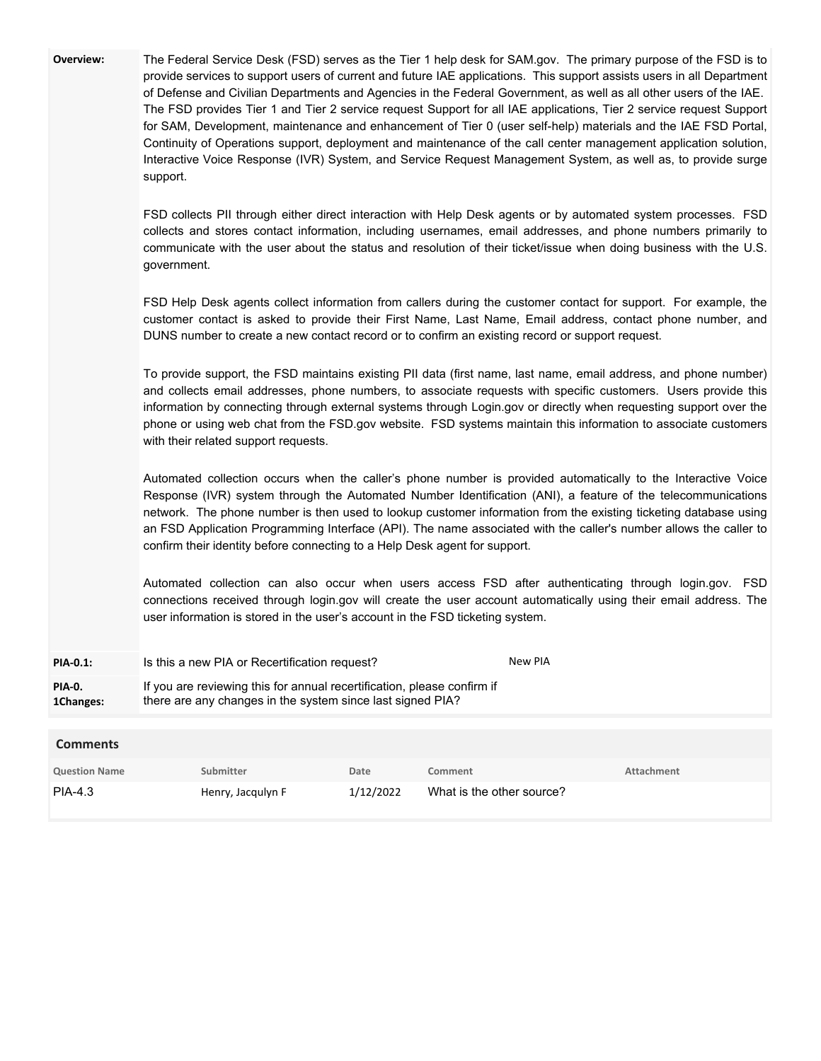| Overview:                  | support.<br>government.<br>with their related support requests.<br>confirm their identity before connecting to a Help Desk agent for support.<br>user information is stored in the user's account in the FSD ticketing system. |      |         | The Federal Service Desk (FSD) serves as the Tier 1 help desk for SAM.gov. The primary purpose of the FSD is to<br>provide services to support users of current and future IAE applications. This support assists users in all Department<br>of Defense and Civilian Departments and Agencies in the Federal Government, as well as all other users of the IAE.<br>The FSD provides Tier 1 and Tier 2 service request Support for all IAE applications, Tier 2 service request Support<br>for SAM, Development, maintenance and enhancement of Tier 0 (user self-help) materials and the IAE FSD Portal,<br>Continuity of Operations support, deployment and maintenance of the call center management application solution,<br>Interactive Voice Response (IVR) System, and Service Request Management System, as well as, to provide surge<br>FSD collects PII through either direct interaction with Help Desk agents or by automated system processes. FSD<br>collects and stores contact information, including usernames, email addresses, and phone numbers primarily to<br>communicate with the user about the status and resolution of their ticket/issue when doing business with the U.S.<br>FSD Help Desk agents collect information from callers during the customer contact for support. For example, the<br>customer contact is asked to provide their First Name, Last Name, Email address, contact phone number, and<br>DUNS number to create a new contact record or to confirm an existing record or support request.<br>To provide support, the FSD maintains existing PII data (first name, last name, email address, and phone number)<br>and collects email addresses, phone numbers, to associate requests with specific customers. Users provide this<br>information by connecting through external systems through Login.gov or directly when requesting support over the<br>phone or using web chat from the FSD.gov website. FSD systems maintain this information to associate customers<br>Automated collection occurs when the caller's phone number is provided automatically to the Interactive Voice<br>Response (IVR) system through the Automated Number Identification (ANI), a feature of the telecommunications<br>network. The phone number is then used to lookup customer information from the existing ticketing database using<br>an FSD Application Programming Interface (API). The name associated with the caller's number allows the caller to<br>Automated collection can also occur when users access FSD after authenticating through login.gov. FSD<br>connections received through login.gov will create the user account automatically using their email address. The |
|----------------------------|--------------------------------------------------------------------------------------------------------------------------------------------------------------------------------------------------------------------------------|------|---------|------------------------------------------------------------------------------------------------------------------------------------------------------------------------------------------------------------------------------------------------------------------------------------------------------------------------------------------------------------------------------------------------------------------------------------------------------------------------------------------------------------------------------------------------------------------------------------------------------------------------------------------------------------------------------------------------------------------------------------------------------------------------------------------------------------------------------------------------------------------------------------------------------------------------------------------------------------------------------------------------------------------------------------------------------------------------------------------------------------------------------------------------------------------------------------------------------------------------------------------------------------------------------------------------------------------------------------------------------------------------------------------------------------------------------------------------------------------------------------------------------------------------------------------------------------------------------------------------------------------------------------------------------------------------------------------------------------------------------------------------------------------------------------------------------------------------------------------------------------------------------------------------------------------------------------------------------------------------------------------------------------------------------------------------------------------------------------------------------------------------------------------------------------------------------------------------------------------------------------------------------------------------------------------------------------------------------------------------------------------------------------------------------------------------------------------------------------------------------------------------------------------------------------------------------------------------------------------------------------------------------------------------------------------------------------------------------------------------------|
| <b>PIA-0.1:</b>            | Is this a new PIA or Recertification request?                                                                                                                                                                                  |      |         | New PIA                                                                                                                                                                                                                                                                                                                                                                                                                                                                                                                                                                                                                                                                                                                                                                                                                                                                                                                                                                                                                                                                                                                                                                                                                                                                                                                                                                                                                                                                                                                                                                                                                                                                                                                                                                                                                                                                                                                                                                                                                                                                                                                                                                                                                                                                                                                                                                                                                                                                                                                                                                                                                                                                                                                      |
| <b>PIA-0.</b><br>1Changes: | If you are reviewing this for annual recertification, please confirm if<br>there are any changes in the system since last signed PIA?                                                                                          |      |         |                                                                                                                                                                                                                                                                                                                                                                                                                                                                                                                                                                                                                                                                                                                                                                                                                                                                                                                                                                                                                                                                                                                                                                                                                                                                                                                                                                                                                                                                                                                                                                                                                                                                                                                                                                                                                                                                                                                                                                                                                                                                                                                                                                                                                                                                                                                                                                                                                                                                                                                                                                                                                                                                                                                              |
| <b>Comments</b>            |                                                                                                                                                                                                                                |      |         |                                                                                                                                                                                                                                                                                                                                                                                                                                                                                                                                                                                                                                                                                                                                                                                                                                                                                                                                                                                                                                                                                                                                                                                                                                                                                                                                                                                                                                                                                                                                                                                                                                                                                                                                                                                                                                                                                                                                                                                                                                                                                                                                                                                                                                                                                                                                                                                                                                                                                                                                                                                                                                                                                                                              |
| <b>Question Name</b>       | Submitter                                                                                                                                                                                                                      | Date | Comment | <b>Attachment</b>                                                                                                                                                                                                                                                                                                                                                                                                                                                                                                                                                                                                                                                                                                                                                                                                                                                                                                                                                                                                                                                                                                                                                                                                                                                                                                                                                                                                                                                                                                                                                                                                                                                                                                                                                                                                                                                                                                                                                                                                                                                                                                                                                                                                                                                                                                                                                                                                                                                                                                                                                                                                                                                                                                            |

PIA-4.3 **Henry, Jacqulyn F** 1/12/2022 What is the other source?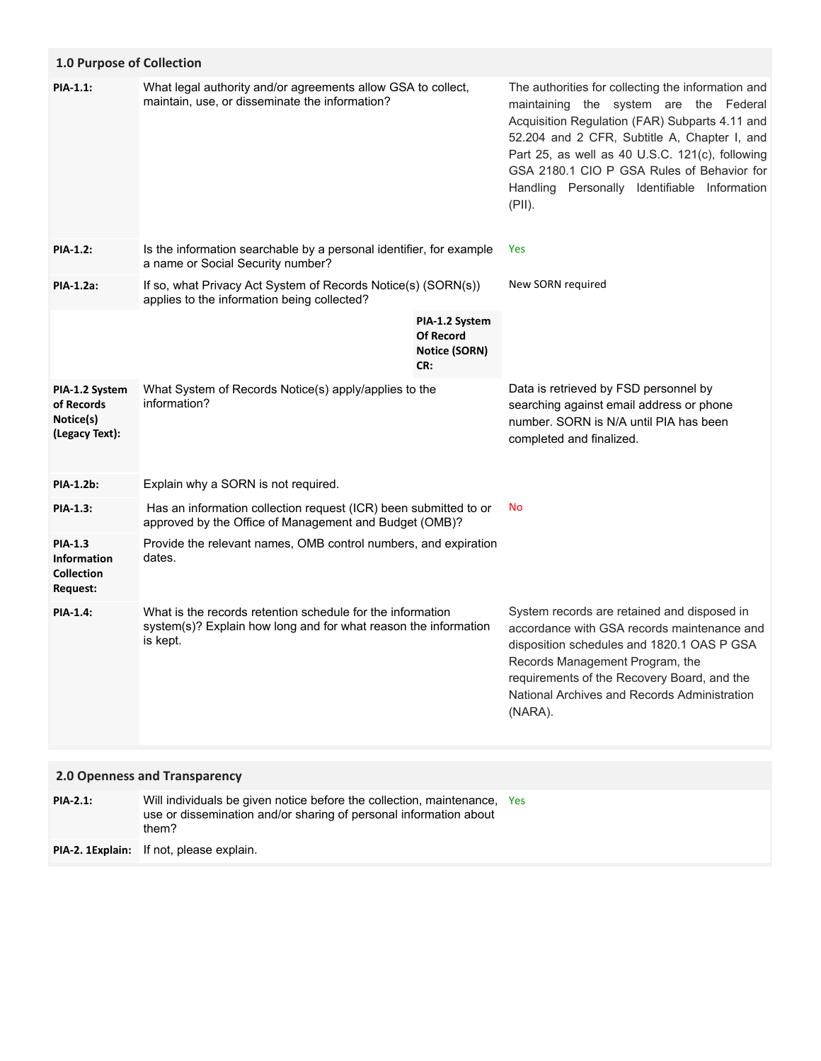| <b>1.0 Purpose of Collection</b>                               |                                                                                                                                           |                                                                   |                                                                                                                                                                                                                                                                                                                                                           |
|----------------------------------------------------------------|-------------------------------------------------------------------------------------------------------------------------------------------|-------------------------------------------------------------------|-----------------------------------------------------------------------------------------------------------------------------------------------------------------------------------------------------------------------------------------------------------------------------------------------------------------------------------------------------------|
| PIA-1.1:                                                       | What legal authority and/or agreements allow GSA to collect,<br>maintain, use, or disseminate the information?                            |                                                                   | The authorities for collecting the information and<br>maintaining the system are the Federal<br>Acquisition Regulation (FAR) Subparts 4.11 and<br>52.204 and 2 CFR, Subtitle A, Chapter I, and<br>Part 25, as well as 40 U.S.C. 121(c), following<br>GSA 2180.1 CIO P GSA Rules of Behavior for<br>Handling Personally Identifiable Information<br>(PII). |
| <b>PIA-1.2:</b>                                                | Is the information searchable by a personal identifier, for example<br>a name or Social Security number?                                  |                                                                   | <b>Yes</b>                                                                                                                                                                                                                                                                                                                                                |
| PIA-1.2a:                                                      | If so, what Privacy Act System of Records Notice(s) (SORN(s))<br>applies to the information being collected?                              |                                                                   | New SORN required                                                                                                                                                                                                                                                                                                                                         |
|                                                                |                                                                                                                                           | PIA-1.2 System<br><b>Of Record</b><br><b>Notice (SORN)</b><br>CR: |                                                                                                                                                                                                                                                                                                                                                           |
| PIA-1.2 System<br>of Records<br>Notice(s)<br>(Legacy Text):    | What System of Records Notice(s) apply/applies to the<br>information?                                                                     |                                                                   | Data is retrieved by FSD personnel by<br>searching against email address or phone<br>number, SORN is N/A until PIA has been<br>completed and finalized.                                                                                                                                                                                                   |
| <b>PIA-1.2b:</b>                                               | Explain why a SORN is not required.                                                                                                       |                                                                   |                                                                                                                                                                                                                                                                                                                                                           |
| PIA-1.3:                                                       | Has an information collection request (ICR) been submitted to or<br>approved by the Office of Management and Budget (OMB)?                |                                                                   | No                                                                                                                                                                                                                                                                                                                                                        |
| <b>PIA-1.3</b><br>Information<br><b>Collection</b><br>Request: | Provide the relevant names, OMB control numbers, and expiration<br>dates.                                                                 |                                                                   |                                                                                                                                                                                                                                                                                                                                                           |
| <b>PIA-1.4:</b>                                                | What is the records retention schedule for the information<br>system(s)? Explain how long and for what reason the information<br>is kept. |                                                                   | System records are retained and disposed in<br>accordance with GSA records maintenance and<br>disposition schedules and 1820.1 OAS P GSA<br>Records Management Program, the<br>requirements of the Recovery Board, and the<br>National Archives and Records Administration<br>(NARA).                                                                     |
|                                                                | 2.0 Openness and Transparency                                                                                                             |                                                                   |                                                                                                                                                                                                                                                                                                                                                           |
| <b>PIA-2.1:</b>                                                | Will individuals be given notice before the collection, maintenance. Yes                                                                  |                                                                   |                                                                                                                                                                                                                                                                                                                                                           |

| PIA-2.1: | Will individuals be given notice before the collection, maintenance, Yes<br>use or dissemination and/or sharing of personal information about<br>them? |  |
|----------|--------------------------------------------------------------------------------------------------------------------------------------------------------|--|
| -------  | $\blacksquare$                                                                                                                                         |  |

**PIA-2. 1Explain:** If not, please explain.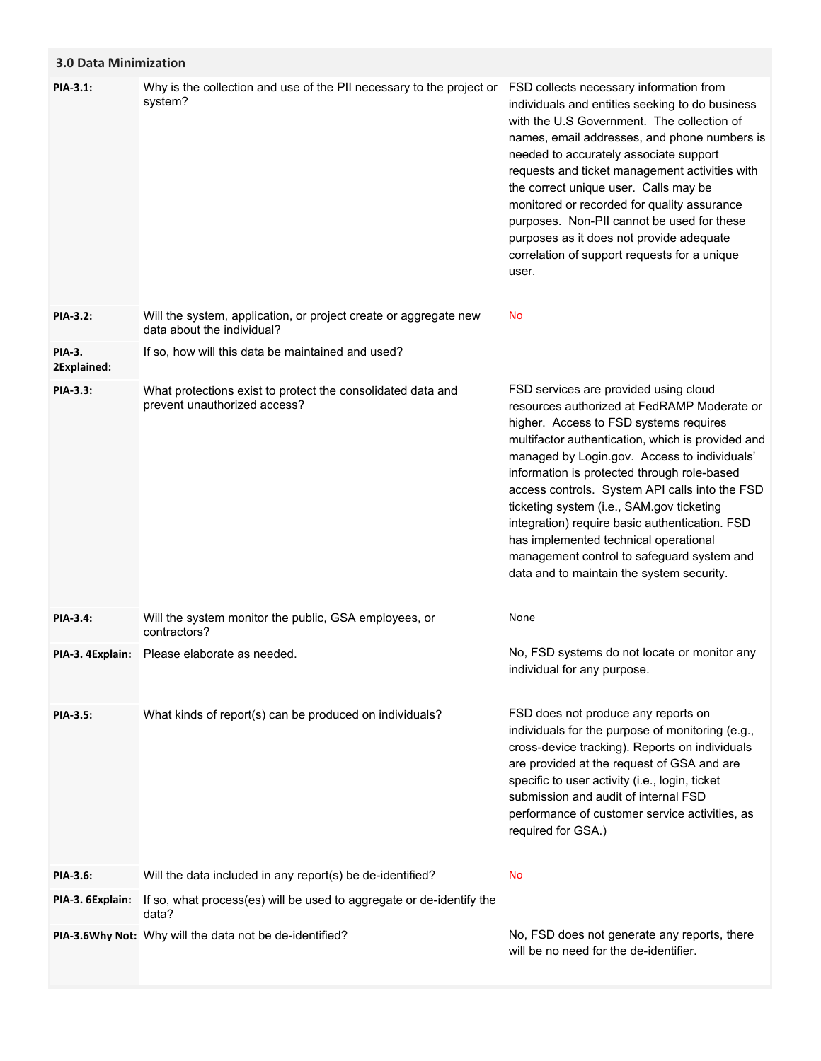# **3.0 Data Minimization**

| PIA-3.1:                     | Why is the collection and use of the PII necessary to the project or<br>system?                | FSD collects necessary information from<br>individuals and entities seeking to do business<br>with the U.S Government. The collection of<br>names, email addresses, and phone numbers is<br>needed to accurately associate support<br>requests and ticket management activities with<br>the correct unique user. Calls may be<br>monitored or recorded for quality assurance<br>purposes. Non-PII cannot be used for these<br>purposes as it does not provide adequate<br>correlation of support requests for a unique<br>user.                                         |
|------------------------------|------------------------------------------------------------------------------------------------|-------------------------------------------------------------------------------------------------------------------------------------------------------------------------------------------------------------------------------------------------------------------------------------------------------------------------------------------------------------------------------------------------------------------------------------------------------------------------------------------------------------------------------------------------------------------------|
| PIA-3.2:                     | Will the system, application, or project create or aggregate new<br>data about the individual? | No                                                                                                                                                                                                                                                                                                                                                                                                                                                                                                                                                                      |
| <b>PIA-3.</b><br>2Explained: | If so, how will this data be maintained and used?                                              |                                                                                                                                                                                                                                                                                                                                                                                                                                                                                                                                                                         |
| PIA-3.3:                     | What protections exist to protect the consolidated data and<br>prevent unauthorized access?    | FSD services are provided using cloud<br>resources authorized at FedRAMP Moderate or<br>higher. Access to FSD systems requires<br>multifactor authentication, which is provided and<br>managed by Login.gov. Access to individuals'<br>information is protected through role-based<br>access controls. System API calls into the FSD<br>ticketing system (i.e., SAM.gov ticketing<br>integration) require basic authentication. FSD<br>has implemented technical operational<br>management control to safeguard system and<br>data and to maintain the system security. |
| PIA-3.4:                     | Will the system monitor the public, GSA employees, or<br>contractors?                          | None                                                                                                                                                                                                                                                                                                                                                                                                                                                                                                                                                                    |
| PIA-3. 4Explain:             | Please elaborate as needed.                                                                    | No, FSD systems do not locate or monitor any<br>individual for any purpose.                                                                                                                                                                                                                                                                                                                                                                                                                                                                                             |
| <b>PIA-3.5:</b>              | What kinds of report(s) can be produced on individuals?                                        | FSD does not produce any reports on<br>individuals for the purpose of monitoring (e.g.,<br>cross-device tracking). Reports on individuals<br>are provided at the request of GSA and are<br>specific to user activity (i.e., login, ticket<br>submission and audit of internal FSD<br>performance of customer service activities, as<br>required for GSA.)                                                                                                                                                                                                               |
| PIA-3.6:                     | Will the data included in any report(s) be de-identified?                                      | No                                                                                                                                                                                                                                                                                                                                                                                                                                                                                                                                                                      |
| PIA-3. 6Explain:             | If so, what process(es) will be used to aggregate or de-identify the<br>data?                  |                                                                                                                                                                                                                                                                                                                                                                                                                                                                                                                                                                         |
|                              | PIA-3.6Why Not: Why will the data not be de-identified?                                        | No, FSD does not generate any reports, there<br>will be no need for the de-identifier.                                                                                                                                                                                                                                                                                                                                                                                                                                                                                  |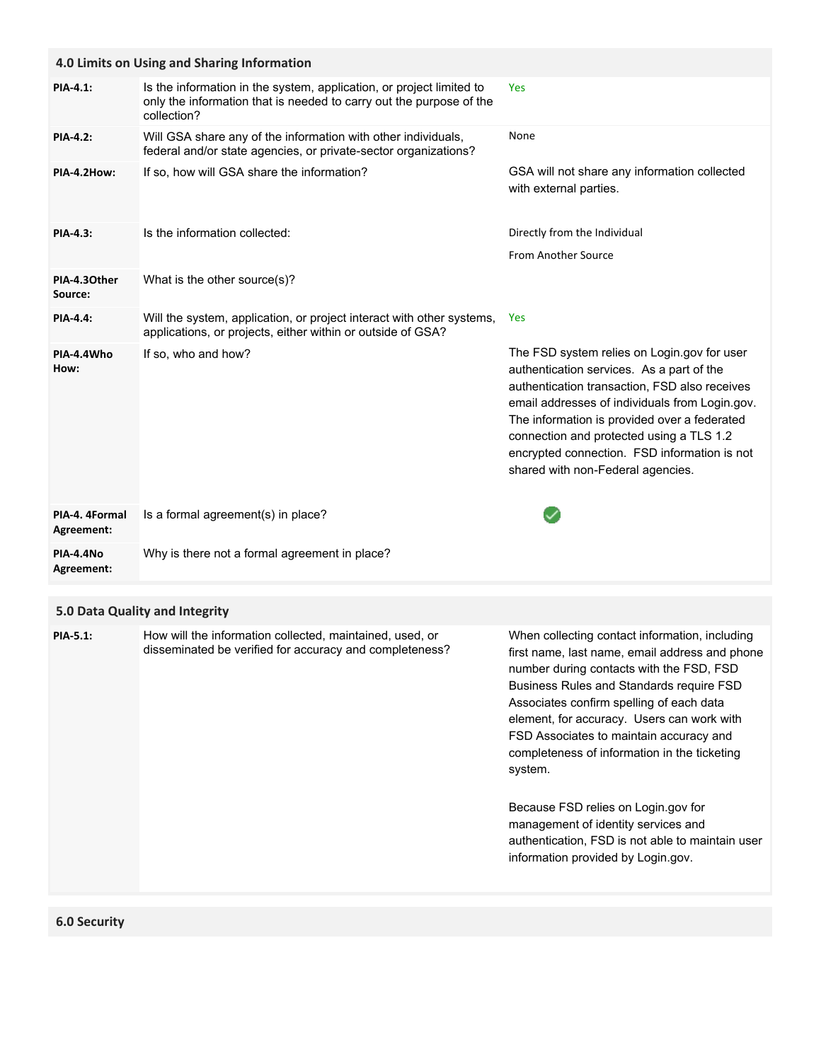|                              | 4.0 Limits on Using and Sharing Information                                                                                                                |                                                                                                                                                                                                                                                                                                                                                                              |
|------------------------------|------------------------------------------------------------------------------------------------------------------------------------------------------------|------------------------------------------------------------------------------------------------------------------------------------------------------------------------------------------------------------------------------------------------------------------------------------------------------------------------------------------------------------------------------|
| <b>PIA-4.1:</b>              | Is the information in the system, application, or project limited to<br>only the information that is needed to carry out the purpose of the<br>collection? | Yes                                                                                                                                                                                                                                                                                                                                                                          |
| <b>PIA-4.2:</b>              | Will GSA share any of the information with other individuals,<br>federal and/or state agencies, or private-sector organizations?                           | None                                                                                                                                                                                                                                                                                                                                                                         |
| PIA-4.2How:                  | If so, how will GSA share the information?                                                                                                                 | GSA will not share any information collected<br>with external parties.                                                                                                                                                                                                                                                                                                       |
| <b>PIA-4.3:</b>              | Is the information collected:                                                                                                                              | Directly from the Individual                                                                                                                                                                                                                                                                                                                                                 |
|                              |                                                                                                                                                            | From Another Source                                                                                                                                                                                                                                                                                                                                                          |
| PIA-4.30ther<br>Source:      | What is the other source(s)?                                                                                                                               |                                                                                                                                                                                                                                                                                                                                                                              |
| <b>PIA-4.4:</b>              | Will the system, application, or project interact with other systems,<br>applications, or projects, either within or outside of GSA?                       | <b>Yes</b>                                                                                                                                                                                                                                                                                                                                                                   |
| PIA-4.4Who<br>How:           | If so, who and how?                                                                                                                                        | The FSD system relies on Login.gov for user<br>authentication services. As a part of the<br>authentication transaction, FSD also receives<br>email addresses of individuals from Login.gov.<br>The information is provided over a federated<br>connection and protected using a TLS 1.2<br>encrypted connection. FSD information is not<br>shared with non-Federal agencies. |
|                              |                                                                                                                                                            |                                                                                                                                                                                                                                                                                                                                                                              |
| PIA-4. 4Formal<br>Agreement: | Is a formal agreement(s) in place?                                                                                                                         |                                                                                                                                                                                                                                                                                                                                                                              |
| PIA-4.4No<br>Agreement:      | Why is there not a formal agreement in place?                                                                                                              |                                                                                                                                                                                                                                                                                                                                                                              |
|                              | 5.0 Data Quality and Integrity                                                                                                                             |                                                                                                                                                                                                                                                                                                                                                                              |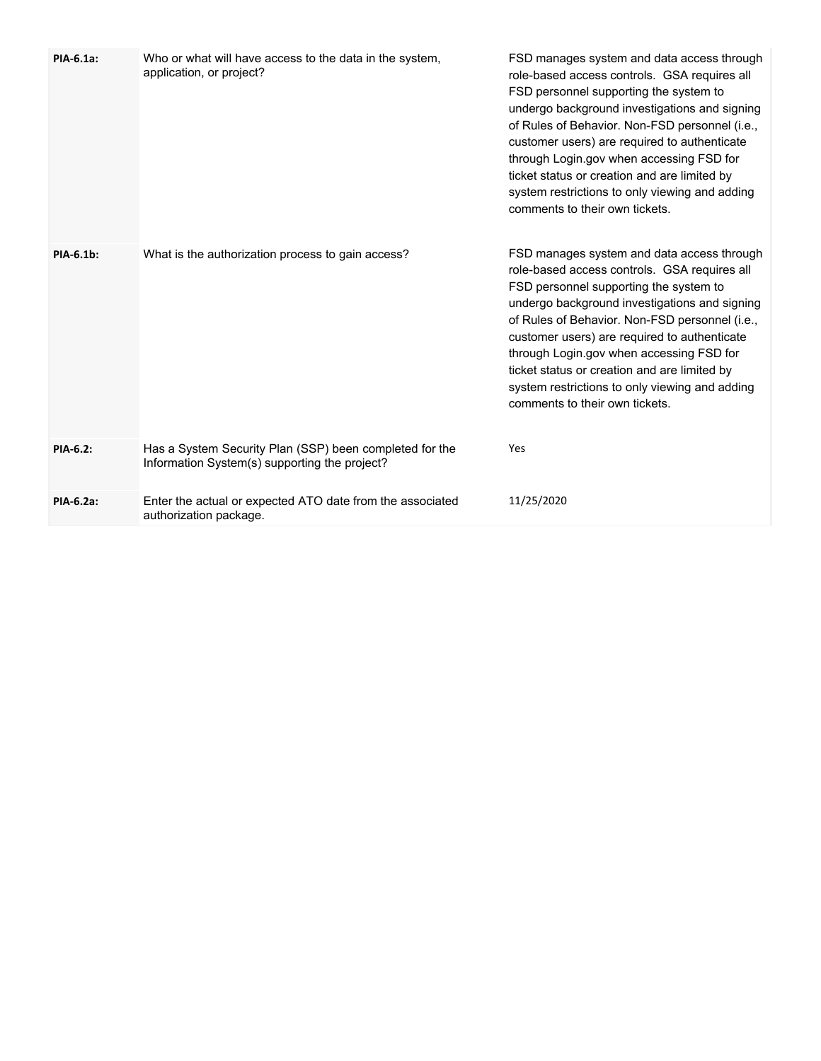| PIA-6.1a: | Who or what will have access to the data in the system,<br>application, or project?                      | FSD manages system and data access through<br>role-based access controls. GSA requires all<br>FSD personnel supporting the system to<br>undergo background investigations and signing<br>of Rules of Behavior. Non-FSD personnel (i.e.,<br>customer users) are required to authenticate<br>through Login.gov when accessing FSD for<br>ticket status or creation and are limited by<br>system restrictions to only viewing and adding<br>comments to their own tickets. |
|-----------|----------------------------------------------------------------------------------------------------------|-------------------------------------------------------------------------------------------------------------------------------------------------------------------------------------------------------------------------------------------------------------------------------------------------------------------------------------------------------------------------------------------------------------------------------------------------------------------------|
| PIA-6.1b: | What is the authorization process to gain access?                                                        | FSD manages system and data access through<br>role-based access controls. GSA requires all<br>FSD personnel supporting the system to<br>undergo background investigations and signing<br>of Rules of Behavior. Non-FSD personnel (i.e.,<br>customer users) are required to authenticate<br>through Login.gov when accessing FSD for<br>ticket status or creation and are limited by<br>system restrictions to only viewing and adding<br>comments to their own tickets. |
| PIA-6.2:  | Has a System Security Plan (SSP) been completed for the<br>Information System(s) supporting the project? | Yes                                                                                                                                                                                                                                                                                                                                                                                                                                                                     |
| PIA-6.2a: | Enter the actual or expected ATO date from the associated<br>authorization package.                      | 11/25/2020                                                                                                                                                                                                                                                                                                                                                                                                                                                              |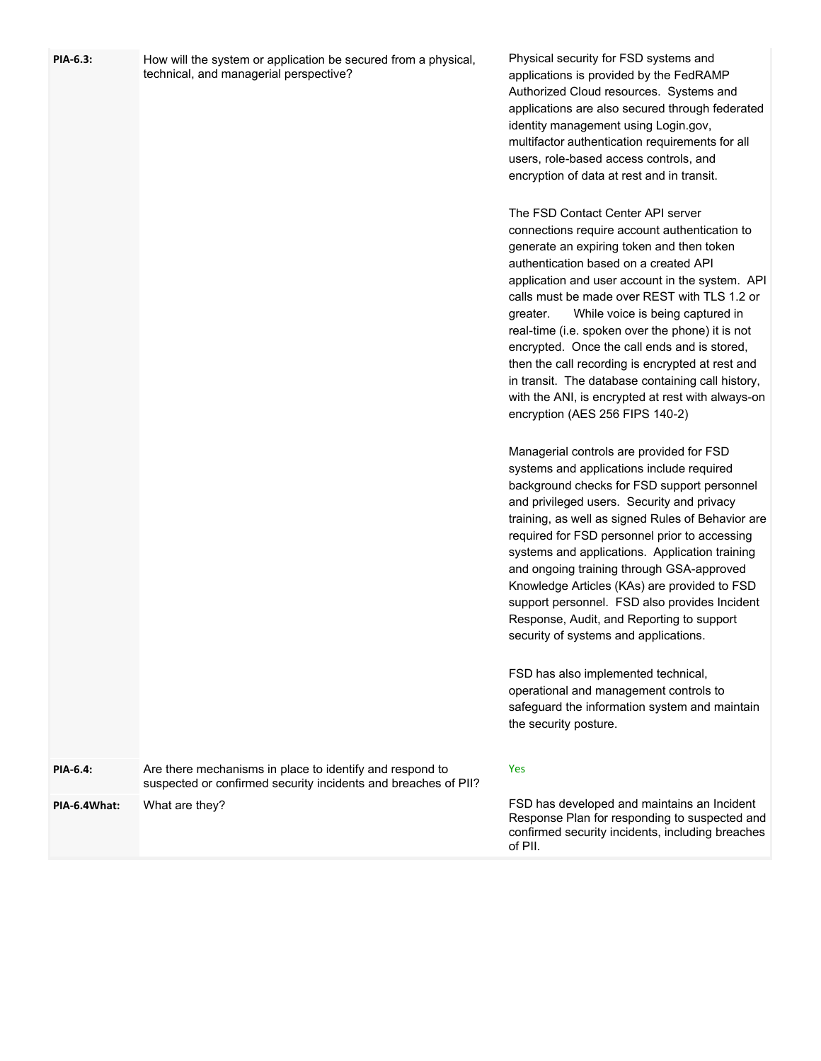| PIA-6.3:     | How will the system or application be secured from a physical,<br>technical, and managerial perspective?                   | Physical security for FSD systems and<br>applications is provided by the FedRAMP<br>Authorized Cloud resources. Systems and<br>applications are also secured through federated<br>identity management using Login.gov,<br>multifactor authentication requirements for all<br>users, role-based access controls, and<br>encryption of data at rest and in transit.<br>The FSD Contact Center API server<br>connections require account authentication to                                                                                                                        |
|--------------|----------------------------------------------------------------------------------------------------------------------------|--------------------------------------------------------------------------------------------------------------------------------------------------------------------------------------------------------------------------------------------------------------------------------------------------------------------------------------------------------------------------------------------------------------------------------------------------------------------------------------------------------------------------------------------------------------------------------|
|              |                                                                                                                            | generate an expiring token and then token<br>authentication based on a created API<br>application and user account in the system. API<br>calls must be made over REST with TLS 1.2 or<br>While voice is being captured in<br>greater.<br>real-time (i.e. spoken over the phone) it is not<br>encrypted. Once the call ends and is stored,<br>then the call recording is encrypted at rest and<br>in transit. The database containing call history,<br>with the ANI, is encrypted at rest with always-on<br>encryption (AES 256 FIPS 140-2)                                     |
|              |                                                                                                                            | Managerial controls are provided for FSD<br>systems and applications include required<br>background checks for FSD support personnel<br>and privileged users. Security and privacy<br>training, as well as signed Rules of Behavior are<br>required for FSD personnel prior to accessing<br>systems and applications. Application training<br>and ongoing training through GSA-approved<br>Knowledge Articles (KAs) are provided to FSD<br>support personnel. FSD also provides Incident<br>Response, Audit, and Reporting to support<br>security of systems and applications. |
|              |                                                                                                                            | FSD has also implemented technical,<br>operational and management controls to<br>safeguard the information system and maintain<br>the security posture.                                                                                                                                                                                                                                                                                                                                                                                                                        |
| PIA-6.4:     | Are there mechanisms in place to identify and respond to<br>suspected or confirmed security incidents and breaches of PII? | Yes                                                                                                                                                                                                                                                                                                                                                                                                                                                                                                                                                                            |
| PIA-6.4What: | What are they?                                                                                                             | FSD has developed and maintains an Incident<br>Response Plan for responding to suspected and<br>confirmed security incidents, including breaches<br>of PII.                                                                                                                                                                                                                                                                                                                                                                                                                    |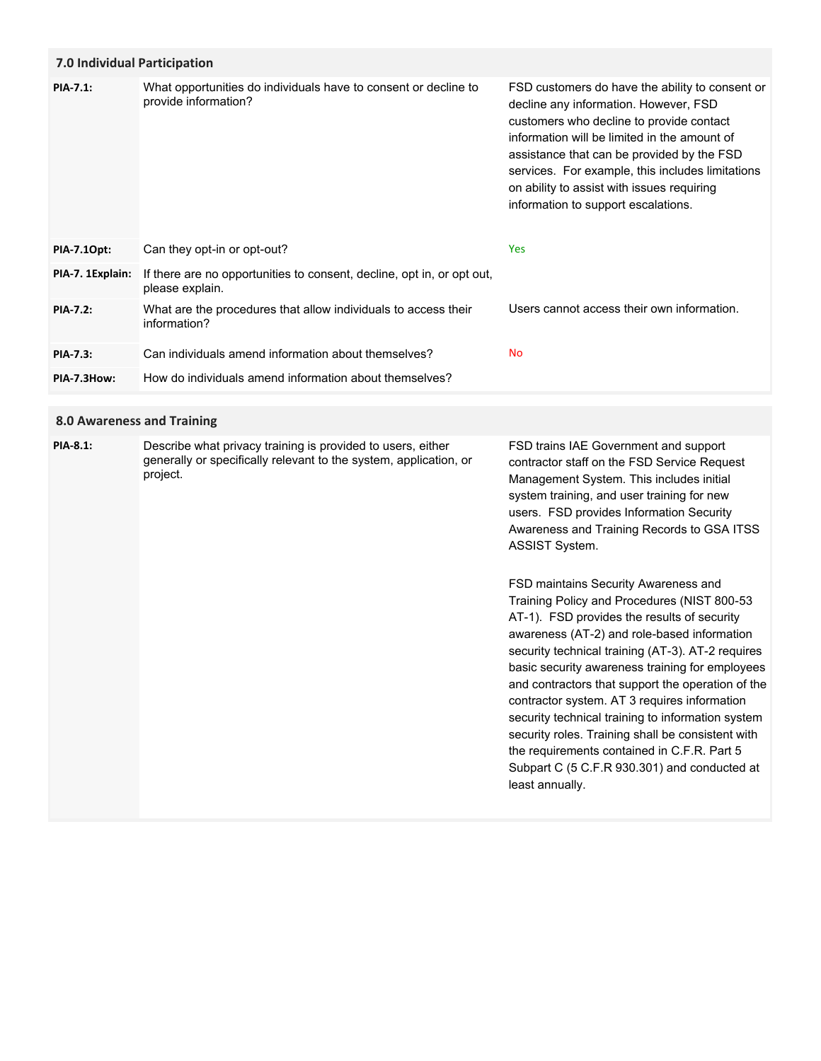## **7.0 Individual Participation**

| <b>PIA-7.1:</b>  | What opportunities do individuals have to consent or decline to<br>provide information?   | FSD customers do have the ability to consent or<br>decline any information. However, FSD<br>customers who decline to provide contact<br>information will be limited in the amount of<br>assistance that can be provided by the FSD<br>services. For example, this includes limitations<br>on ability to assist with issues requiring<br>information to support escalations. |
|------------------|-------------------------------------------------------------------------------------------|-----------------------------------------------------------------------------------------------------------------------------------------------------------------------------------------------------------------------------------------------------------------------------------------------------------------------------------------------------------------------------|
| PIA-7.10pt:      | Can they opt-in or opt-out?                                                               | <b>Yes</b>                                                                                                                                                                                                                                                                                                                                                                  |
| PIA-7. 1Explain: | If there are no opportunities to consent, decline, opt in, or opt out,<br>please explain. |                                                                                                                                                                                                                                                                                                                                                                             |
| <b>PIA-7.2:</b>  | What are the procedures that allow individuals to access their<br>information?            | Users cannot access their own information.                                                                                                                                                                                                                                                                                                                                  |
| PIA-7.3:         | Can individuals amend information about themselves?                                       | <b>No</b>                                                                                                                                                                                                                                                                                                                                                                   |
| PIA-7.3How:      | How do individuals amend information about themselves?                                    |                                                                                                                                                                                                                                                                                                                                                                             |

## **8.0 Awareness and Training**

| <b>PIA-8.1:</b> | Describe what privacy training is provided to users, either<br>generally or specifically relevant to the system, application, or<br>project. | FSD trains IAE Government and support<br>contractor staff on the FSD Service Request<br>Management System. This includes initial<br>system training, and user training for new<br>users. FSD provides Information Security<br>Awareness and Training Records to GSA ITSS<br><b>ASSIST System.</b>                                                                                              |
|-----------------|----------------------------------------------------------------------------------------------------------------------------------------------|------------------------------------------------------------------------------------------------------------------------------------------------------------------------------------------------------------------------------------------------------------------------------------------------------------------------------------------------------------------------------------------------|
|                 |                                                                                                                                              | FSD maintains Security Awareness and<br>Training Policy and Procedures (NIST 800-53<br>AT-1). FSD provides the results of security<br>awareness (AT-2) and role-based information<br>security technical training (AT-3). AT-2 requires<br>basic security awareness training for employees<br>and contractors that support the operation of the<br>contractor system. AT 3 requires information |

security technical training to information system security roles. Training shall be consistent with the requirements contained in C.F.R. Part 5 Subpart C (5 C.F.R 930.301) and conducted at

least annually.